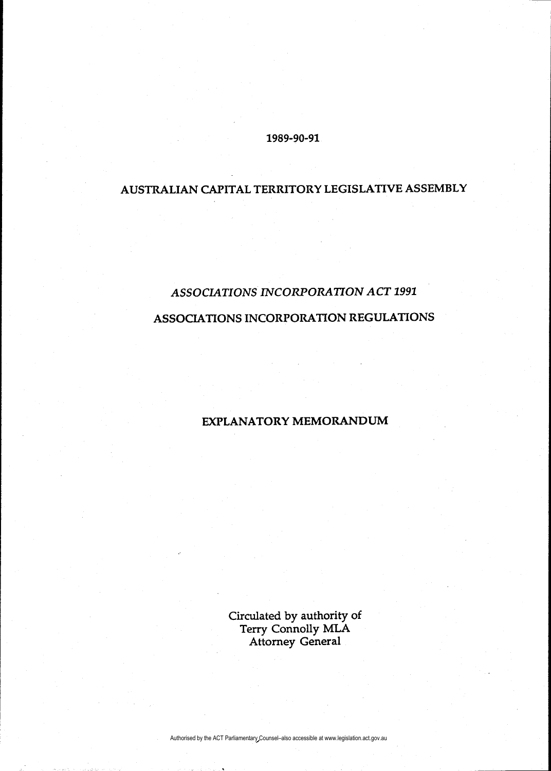### 1989-90-91

# AUSTRALIAN CAPITAL TERRITORY LEGISLATIVE ASSEMBLY

# ASSOCIATIONS INCORPORATION ACT 1991

## ASSOCIATIONS INCORPORATION REGULATIONS

## EXPLANATORY MEMORANDUM

Circulated by authority of Terry Connolly MLA Attorney General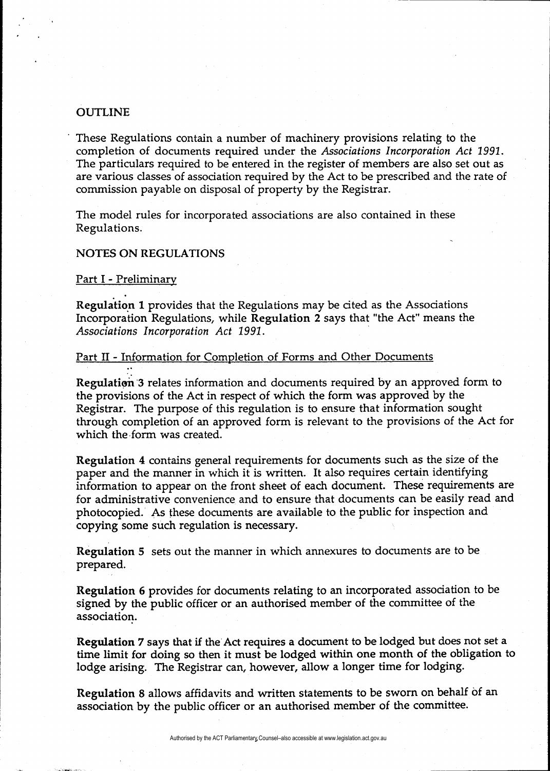### **OUTLINE**

These Regulations contain a number of machinery provisions relating to the completion of documents required under the Associations Incorporation Act 1991. The particulars required to be entered in the register of members are also set out as are various classes of association required by the Act to be prescribed and the rate of commission payable on disposal of property by the Registrar.

The model rules for incorporated associations are also contained in these Regulations.

### NOTES ON REGULATIONS

Part I - Preliminary

: :

Regulation 1 provides that the Regulations may be cited as the Associations Incorporation Regulations, while Regulation 2 says that "the Act" means the Associations Incorporation Act 1991.

### Part II - Information for Completion of Forms and Other Documents

Regulation 3 relates information and documents required by an approved form to the provisions of the Act in respect of which the form was approved by the Registrar. The purpose of this regulation is to ensure that information sought through completion of an approved form is relevant to the provisions of the Act for which the form was created.

Regulation 4 contains general requirements for documents such as the size of the paper and the manner in which it is written. It also requires certain identifying information to appear on the front sheet of each document. These requirements are for administrative convenience and to ensure that documents can be easily read and photocopied. As these documents are available to the public for inspection and copying some such regulation is necessary.

Regulation 5 sets out the manner in which annexures to documents are to be prepared.

Regulation 6 provides for documents relating to an incorporated association to be signed by the public officer or an authorised member of the committee of the association.

Regulation 7 says that if the Act requires a document to be lodged but does not set a time limit for doing so then it must be lodged within one month of the obligation to lodge arising. The Registrar can, however, allow a longer time for lodging.

Regulation 8 allows affidavits and written statements to be sworn on behalf of an association by the public officer or an authorised member of the committee.